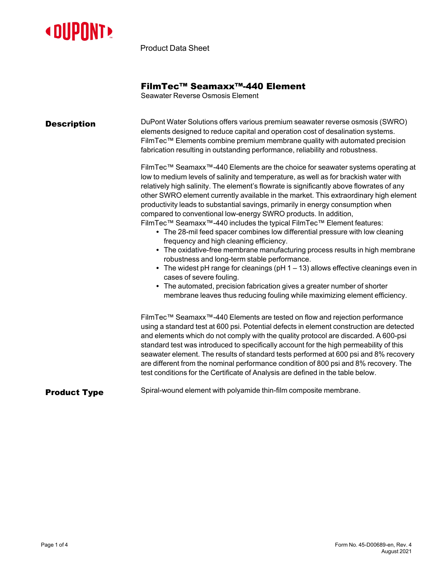

Product Data Sheet

## FilmTec™ Seamaxx™-440 Element

Seawater Reverse Osmosis Element

| <b>Description</b>  | DuPont Water Solutions offers various premium seawater reverse osmosis (SWRO)<br>elements designed to reduce capital and operation cost of desalination systems.<br>FilmTec™ Elements combine premium membrane quality with automated precision<br>fabrication resulting in outstanding performance, reliability and robustness.<br>FilmTec™ Seamaxx <sup>™</sup> -440 Elements are the choice for seawater systems operating at<br>low to medium levels of salinity and temperature, as well as for brackish water with<br>relatively high salinity. The element's flowrate is significantly above flowrates of any<br>other SWRO element currently available in the market. This extraordinary high element<br>productivity leads to substantial savings, primarily in energy consumption when<br>compared to conventional low-energy SWRO products. In addition,<br>FilmTec™ Seamaxx™-440 includes the typical FilmTec™ Element features:<br>• The 28-mil feed spacer combines low differential pressure with low cleaning<br>frequency and high cleaning efficiency.<br>• The oxidative-free membrane manufacturing process results in high membrane<br>robustness and long-term stable performance.<br>• The widest pH range for cleanings (pH $1 - 13$ ) allows effective cleanings even in<br>cases of severe fouling. |  |  |  |  |
|---------------------|-------------------------------------------------------------------------------------------------------------------------------------------------------------------------------------------------------------------------------------------------------------------------------------------------------------------------------------------------------------------------------------------------------------------------------------------------------------------------------------------------------------------------------------------------------------------------------------------------------------------------------------------------------------------------------------------------------------------------------------------------------------------------------------------------------------------------------------------------------------------------------------------------------------------------------------------------------------------------------------------------------------------------------------------------------------------------------------------------------------------------------------------------------------------------------------------------------------------------------------------------------------------------------------------------------------------------------|--|--|--|--|
|                     | • The automated, precision fabrication gives a greater number of shorter<br>membrane leaves thus reducing fouling while maximizing element efficiency.<br>FilmTec™ Seamaxx™-440 Elements are tested on flow and rejection performance<br>using a standard test at 600 psi. Potential defects in element construction are detected<br>and elements which do not comply with the quality protocol are discarded. A 600-psi<br>standard test was introduced to specifically account for the high permeability of this<br>seawater element. The results of standard tests performed at 600 psi and 8% recovery<br>are different from the nominal performance condition of 800 psi and 8% recovery. The                                                                                                                                                                                                                                                                                                                                                                                                                                                                                                                                                                                                                            |  |  |  |  |
| <b>Product Type</b> | test conditions for the Certificate of Analysis are defined in the table below.<br>Spiral-wound element with polyamide thin-film composite membrane.                                                                                                                                                                                                                                                                                                                                                                                                                                                                                                                                                                                                                                                                                                                                                                                                                                                                                                                                                                                                                                                                                                                                                                          |  |  |  |  |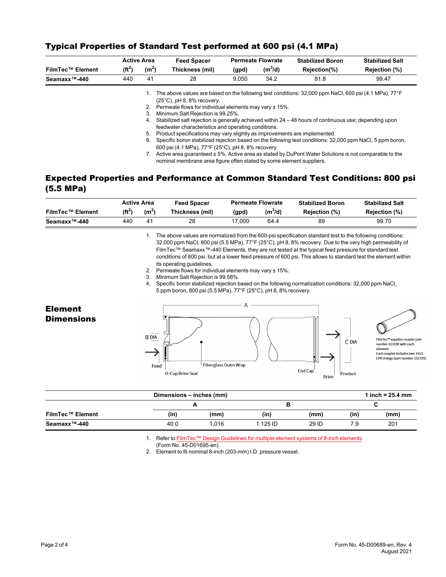|                           |           | <b>Active Area</b> | <b>Feed Spacer</b>                                                                                                                                                                                                                                                                                                                                                                                               | <b>Permeate Flowrate</b> |           | <b>Stabilized Boron</b> | <b>Stabilized Salt</b> |
|---------------------------|-----------|--------------------|------------------------------------------------------------------------------------------------------------------------------------------------------------------------------------------------------------------------------------------------------------------------------------------------------------------------------------------------------------------------------------------------------------------|--------------------------|-----------|-------------------------|------------------------|
| <b>FilmTec™ Element</b>   | $(f t^2)$ | (m <sup>2</sup> )  | Thickness (mil)                                                                                                                                                                                                                                                                                                                                                                                                  | (gpd)                    | $(m^3/d)$ | Rejection(%)            | Rejection (%)          |
| Seamaxx <sup>™</sup> -440 | 440       | 41                 | 28                                                                                                                                                                                                                                                                                                                                                                                                               | 9.050                    | 34.2      | 81.8                    | 99.47                  |
|                           |           | 3.<br>4.           | The above values are based on the following test conditions: 32,000 ppm NaCl, 600 psi (4.1 MPa), 77°F<br>$(25^{\circ}C)$ , pH 8, 8% recovery.<br>2. Permeate flows for individual elements may vary ± 15%.<br>Minimum Salt Rejection is 99.25%.<br>Stabilized salt rejection is generally achieved within 24 - 48 hours of continuous use; depending upon                                                        |                          |           |                         |                        |
|                           |           | 5.<br>6.           | feedwater characteristics and operating conditions.<br>Product specifications may vary slightly as improvements are implemented.<br>Specific boron stabilized rejection based on the following test conditions: 32,000 ppm NaCl, 5 ppm boron,<br>600 psi (4.1 MPa), 77°F (25°C), pH 8, 8% recovery.<br>Active area quaranteed $\pm$ 5%. Active area as stated by DuPont Water Solutions is not comparable to the |                          |           |                         |                        |

## Typical Properties of Standard Test performed at 600 psi (4.1 MPa)

## Expected Properties and Performance at Common Standard Test Conditions: 800 psi (5.5 MPa)

nominal membrane area figure often stated by some element suppliers.

|                         | <b>Active Area</b> |                   | <b>Feed Spacer</b> | <b>Permeate Flowrate</b> |                     | <b>Stabilized Boron</b> | <b>Stabilized Salt</b> |  |
|-------------------------|--------------------|-------------------|--------------------|--------------------------|---------------------|-------------------------|------------------------|--|
| <b>FilmTec™ Element</b> | $(f t^2)$          | (m <sup>2</sup> ) | Thickness (mil)    | (qpd)                    | (m <sup>3</sup> /d) | Reiection (%)           | Rejection (%)          |  |
| Seamaxx™-440            | 440                | 4 <sup>1</sup>    | 28                 | 17.000                   | 64.4                | 89                      | 99.70                  |  |

1. The above values are normalized from the 600-psi specification standard test to the following conditions: 32,000 ppm NaCl, 800 psi (5.5 MPa), 77°F (25°C), pH 8, 8% recovery. Due to the very high permeability of FilmTec™ Seamaxx™-440 Elements, they are not tested at the typical feed pressure for standard test conditions of 800 psi, but at a lower feed pressure of 600 psi. This allows to standard test the element within its operating guidelines.

- 2. Permeate flows for individual elements may vary ± 15%.
- 3. Minimum Salt Rejection is 99.58%.

4. Specific boron stabilized rejection based on the following normalization conditions: 32,000 ppm NaCl, 5 ppm boron, 800 psi (5.5 MPa), 77°F (25°C), pH 8, 8% recovery.







FilmTec™ supplies coupler part number 313198 with each element. Each coupler includes two 3-912<br>EPR O-rings (part number 151705).

|                         | Dimensions - inches (mm) |       |          |       |      | 1 inch = $25.4$ mm |
|-------------------------|--------------------------|-------|----------|-------|------|--------------------|
|                         |                          |       |          |       |      |                    |
| <b>FilmTec™ Element</b> | (in)                     | (mm)  | (in      | (mm)  | (in) | (mm)               |
| Seamaxx™-440            | 40.0                     | 1.016 | 1.125 ID | 29 ID | 7.9  | 201                |

1. Refer to FilmTec™ Design Guidelines for [multiple-element](https://www.dupont.com/content/dam/dupont/amer/us/en/water-solutions/public/documents/en/RO-NF-FilmTec-Membrane-Sys-Design-Guidelines-8inch-Manual-Exc-45-D01695-en.pdf) systems of 8-inch elements

(Form No. 45-D01695-en).

2. Element to fit nominal 8-inch (203-mm) I.D. pressure vessel.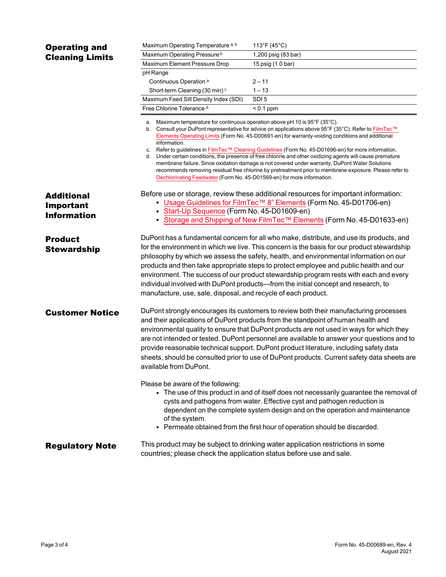| <b>Operating and</b>                                        | Maximum Operating Temperature <sup>a, b</sup>                                                                                                                                                                                                                                                                                                                                                                                                                                                                                                                                                                                                                                                                                                    | 113°F (45°C)                                                            |  |  |  |
|-------------------------------------------------------------|--------------------------------------------------------------------------------------------------------------------------------------------------------------------------------------------------------------------------------------------------------------------------------------------------------------------------------------------------------------------------------------------------------------------------------------------------------------------------------------------------------------------------------------------------------------------------------------------------------------------------------------------------------------------------------------------------------------------------------------------------|-------------------------------------------------------------------------|--|--|--|
| <b>Cleaning Limits</b>                                      | Maximum Operating Pressure <sup>b</sup>                                                                                                                                                                                                                                                                                                                                                                                                                                                                                                                                                                                                                                                                                                          | 1,200 psig (83 bar)                                                     |  |  |  |
|                                                             | Maximum Element Pressure Drop                                                                                                                                                                                                                                                                                                                                                                                                                                                                                                                                                                                                                                                                                                                    | 15 psig (1.0 bar)                                                       |  |  |  |
|                                                             | pH Range                                                                                                                                                                                                                                                                                                                                                                                                                                                                                                                                                                                                                                                                                                                                         |                                                                         |  |  |  |
|                                                             | Continuous Operation <sup>a</sup>                                                                                                                                                                                                                                                                                                                                                                                                                                                                                                                                                                                                                                                                                                                | $2 - 11$                                                                |  |  |  |
|                                                             | Short-term Cleaning (30 min) <sup>c</sup>                                                                                                                                                                                                                                                                                                                                                                                                                                                                                                                                                                                                                                                                                                        | $1 - 13$                                                                |  |  |  |
|                                                             | Maximum Feed Silt Density Index (SDI)                                                                                                                                                                                                                                                                                                                                                                                                                                                                                                                                                                                                                                                                                                            | SDI <sub>5</sub>                                                        |  |  |  |
|                                                             | Free Chlorine Tolerance d                                                                                                                                                                                                                                                                                                                                                                                                                                                                                                                                                                                                                                                                                                                        | $< 0.1$ ppm                                                             |  |  |  |
|                                                             | Maximum temperature for continuous operation above pH 10 is 95°F (35°C).<br>a.<br>Consult your DuPont representative for advice on applications above 95°F (35°C). Refer to FilmTec™<br>b.<br>Elements Operating Limits (Form No. 45-D00691-en) for warranty-voiding conditions and additional<br>information.<br>c. Refer to guidelines in FilmTec™ Cleaning Guidelines (Form No. 45-D01696-en) for more information.<br>d. Under certain conditions, the presence of free chlorine and other oxidizing agents will cause premature<br>membrane failure. Since oxidation damage is not covered under warranty, DuPont Water Solutions<br>recommends removing residual free chlorine by pretreatment prior to membrane exposure. Please refer to |                                                                         |  |  |  |
| <b>Additional</b><br><b>Important</b><br><b>Information</b> | Dechlorinating Feedwater (Form No. 45-D01569-en) for more information.<br>Before use or storage, review these additional resources for important information:<br>• Usage Guidelines for FilmTec <sup>TM</sup> 8" Elements (Form No. 45-D01706-en)<br>• Start-Up Sequence (Form No. 45-D01609-en)                                                                                                                                                                                                                                                                                                                                                                                                                                                 |                                                                         |  |  |  |
|                                                             |                                                                                                                                                                                                                                                                                                                                                                                                                                                                                                                                                                                                                                                                                                                                                  | • Storage and Shipping of New FilmTec™ Elements (Form No. 45-D01633-en) |  |  |  |
| <b>Product</b><br><b>Stewardship</b>                        | DuPont has a fundamental concern for all who make, distribute, and use its products, and<br>for the environment in which we live. This concern is the basis for our product stewardship<br>philosophy by which we assess the safety, health, and environmental information on our<br>products and then take appropriate steps to protect employee and public health and our<br>environment. The success of our product stewardship program rests with each and every<br>individual involved with DuPont products—from the initial concept and research, to<br>manufacture, use, sale, disposal, and recycle of each product.                                                                                                                     |                                                                         |  |  |  |
| <b>Customer Notice</b>                                      | DuPont strongly encourages its customers to review both their manufacturing processes<br>and their applications of DuPont products from the standpoint of human health and<br>environmental quality to ensure that DuPont products are not used in ways for which they<br>are not intended or tested. DuPont personnel are available to answer your questions and to<br>provide reasonable technical support. DuPont product literature, including safety data<br>sheets, should be consulted prior to use of DuPont products. Current safety data sheets are<br>available from DuPont.                                                                                                                                                          |                                                                         |  |  |  |
|                                                             | Please be aware of the following:<br>• The use of this product in and of itself does not necessarily guarantee the removal of<br>cysts and pathogens from water. Effective cyst and pathogen reduction is<br>dependent on the complete system design and on the operation and maintenance<br>of the system.<br>• Permeate obtained from the first hour of operation should be discarded.                                                                                                                                                                                                                                                                                                                                                         |                                                                         |  |  |  |
| <b>Regulatory Note</b>                                      | This product may be subject to drinking water application restrictions in some<br>countries; please check the application status before use and sale.                                                                                                                                                                                                                                                                                                                                                                                                                                                                                                                                                                                            |                                                                         |  |  |  |